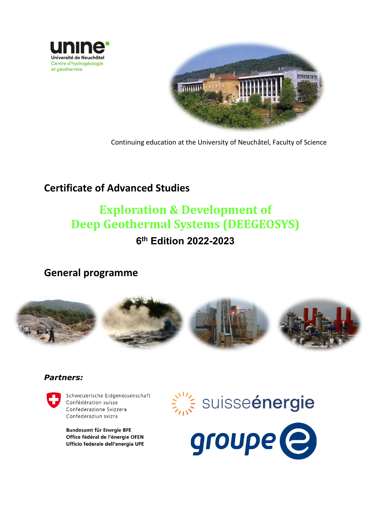



Continuing education at the University of Neuchâtel, Faculty of Science

## **Certificate of Advanced Studies**

# **Exploration & Development of Deep Geothermal Systems (DEEGEOSYS)**

# **6th Edition 2022-2023**

**General programme**



#### *Partners:*



Schweizerische Eidgenossenschaft Confédération suisse Confederazione Svizzera Confederaziun svizra

Bundesamt für Energie BFE Office fédéral de l'énergie OFEN Ufficio federale dell'energia UFE



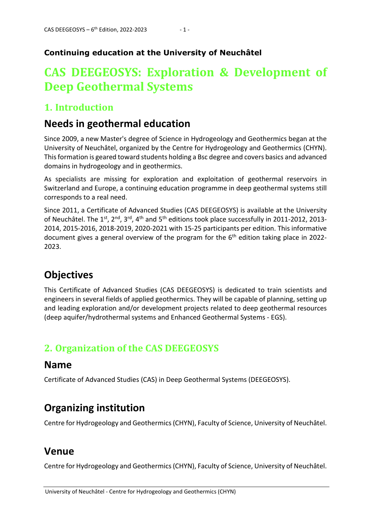#### **Continuing education at the University of Neuchâtel**

# **CAS DEEGEOSYS: Exploration & Development of Deep Geothermal Systems**

#### **1. Introduction**

#### **Needs in geothermal education**

Since 2009, a new Master's degree of Science in Hydrogeology and Geothermics began at the University of Neuchâtel, organized by the Centre for Hydrogeology and Geothermics (CHYN). This formation is geared toward students holding a Bsc degree and covers basics and advanced domains in hydrogeology and in geothermics.

As specialists are missing for exploration and exploitation of geothermal reservoirs in Switzerland and Europe, a continuing education programme in deep geothermal systems still corresponds to a real need.

Since 2011, a Certificate of Advanced Studies (CAS DEEGEOSYS) is available at the University of Neuchâtel. The 1<sup>st</sup>, 2<sup>nd</sup>, 3<sup>rd</sup>, 4<sup>th</sup> and 5<sup>th</sup> editions took place successfully in 2011-2012, 2013-2014, 2015-2016, 2018-2019, 2020-2021 with 15-25 participants per edition. This informative document gives a general overview of the program for the  $6<sup>th</sup>$  edition taking place in 2022-2023.

# **Objectives**

This Certificate of Advanced Studies (CAS DEEGEOSYS) is dedicated to train scientists and engineers in several fields of applied geothermics. They will be capable of planning, setting up and leading exploration and/or development projects related to deep geothermal resources (deep aquifer/hydrothermal systems and Enhanced Geothermal Systems - EGS).

### **2. Organization of the CAS DEEGEOSYS**

#### **Name**

Certificate of Advanced Studies (CAS) in Deep Geothermal Systems (DEEGEOSYS).

# **Organizing institution**

Centre for Hydrogeology and Geothermics(CHYN), Faculty of Science, University of Neuchâtel.

### **Venue**

Centre for Hydrogeology and Geothermics(CHYN), Faculty of Science, University of Neuchâtel.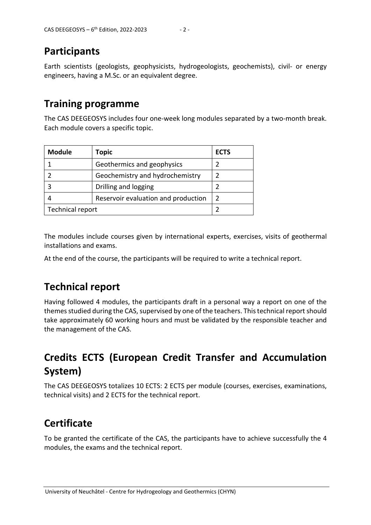### **Participants**

Earth scientists (geologists, geophysicists, hydrogeologists, geochemists), civil- or energy engineers, having a M.Sc. or an equivalent degree.

#### **Training programme**

The CAS DEEGEOSYS includes four one-week long modules separated by a two-month break. Each module covers a specific topic.

| <b>Module</b>    | Topic                               | <b>ECTS</b> |
|------------------|-------------------------------------|-------------|
|                  | Geothermics and geophysics          |             |
|                  | Geochemistry and hydrochemistry     |             |
|                  | Drilling and logging                |             |
|                  | Reservoir evaluation and production |             |
| Technical report |                                     |             |

The modules include courses given by international experts, exercises, visits of geothermal installations and exams.

At the end of the course, the participants will be required to write a technical report.

# **Technical report**

Having followed 4 modules, the participants draft in a personal way a report on one of the themes studied during the CAS, supervised by one of the teachers. This technical report should take approximately 60 working hours and must be validated by the responsible teacher and the management of the CAS.

# **Credits ECTS (European Credit Transfer and Accumulation System)**

The CAS DEEGEOSYS totalizes 10 ECTS: 2 ECTS per module (courses, exercises, examinations, technical visits) and 2 ECTS for the technical report.

### **Certificate**

To be granted the certificate of the CAS, the participants have to achieve successfully the 4 modules, the exams and the technical report.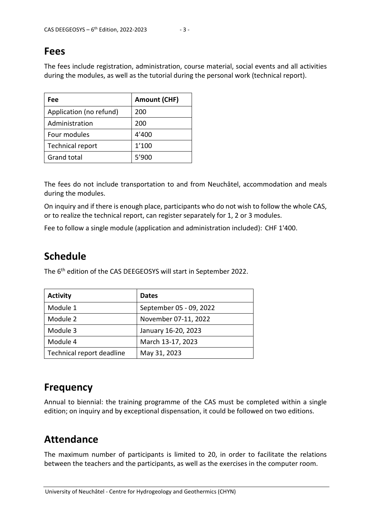#### **Fees**

The fees include registration, administration, course material, social events and all activities during the modules, as well as the tutorial during the personal work (technical report).

| Fee                     | <b>Amount (CHF)</b> |
|-------------------------|---------------------|
| Application (no refund) | 200                 |
| Administration          | 200                 |
| Four modules            | 4'400               |
| Technical report        | 1'100               |
| <b>Grand total</b>      | 5'900               |

The fees do not include transportation to and from Neuchâtel, accommodation and meals during the modules.

On inquiry and if there is enough place, participants who do not wish to follow the whole CAS, or to realize the technical report, can register separately for 1, 2 or 3 modules.

Fee to follow a single module (application and administration included): CHF 1'400.

### **Schedule**

The 6<sup>th</sup> edition of the CAS DEEGEOSYS will start in September 2022.

| <b>Activity</b>           | <b>Dates</b>            |
|---------------------------|-------------------------|
| Module 1                  | September 05 - 09, 2022 |
| Module 2                  | November 07-11, 2022    |
| Module 3                  | January 16-20, 2023     |
| Module 4                  | March 13-17, 2023       |
| Technical report deadline | May 31, 2023            |

### **Frequency**

Annual to biennial: the training programme of the CAS must be completed within a single edition; on inquiry and by exceptional dispensation, it could be followed on two editions.

### **Attendance**

The maximum number of participants is limited to 20, in order to facilitate the relations between the teachers and the participants, as well as the exercises in the computer room.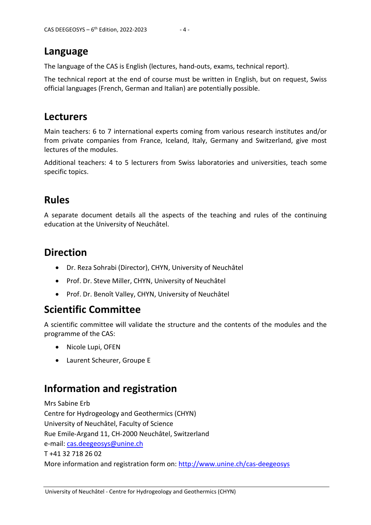#### **Language**

The language of the CAS is English (lectures, hand-outs, exams, technical report).

The technical report at the end of course must be written in English, but on request, Swiss official languages (French, German and Italian) are potentially possible.

#### **Lecturers**

Main teachers: 6 to 7 international experts coming from various research institutes and/or from private companies from France, Iceland, Italy, Germany and Switzerland, give most lectures of the modules.

Additional teachers: 4 to 5 lecturers from Swiss laboratories and universities, teach some specific topics.

### **Rules**

A separate document details all the aspects of the teaching and rules of the continuing education at the University of Neuchâtel.

# **Direction**

- Dr. Reza Sohrabi (Director), CHYN, University of Neuchâtel
- Prof. Dr. Steve Miller, CHYN, University of Neuchâtel
- Prof. Dr. Benoît Valley, CHYN, University of Neuchâtel

# **Scientific Committee**

A scientific committee will validate the structure and the contents of the modules and the programme of the CAS:

- Nicole Lupi, OFEN
- Laurent Scheurer, Groupe E

# **Information and registration**

Mrs Sabine Erb Centre for Hydrogeology and Geothermics (CHYN) University of Neuchâtel, Faculty of Science Rue Emile-Argand 11, CH-2000 Neuchâtel, Switzerland e-mail: [cas.deegeosys@unine.ch](mailto:cas.deegeosys@unine.ch)  T +41 32 718 26 02 More information and registration form on: <http://www.unine.ch/cas-deegeosys>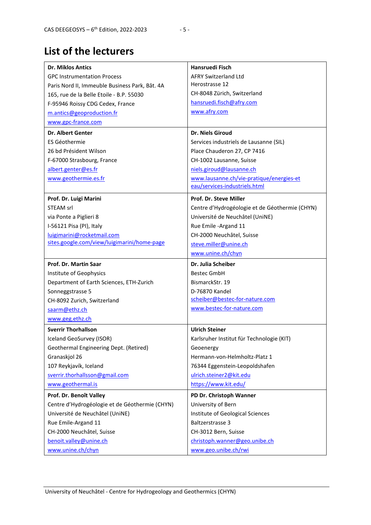# **List of the lecturers**

| <b>Dr. Miklos Antics</b>                       | <b>Hansruedi Fisch</b>                                 |
|------------------------------------------------|--------------------------------------------------------|
| <b>GPC Instrumentation Process</b>             | <b>AFRY Switzerland Ltd</b>                            |
| Paris Nord II, Immeuble Business Park, Bât. 4A | Herostrasse 12                                         |
| 165, rue de la Belle Etoile - B.P. 55030       | CH-8048 Zürich, Switzerland                            |
| F-95946 Roissy CDG Cedex, France               | hansruedi.fisch@afry.com                               |
| m.antics@geoproduction.fr                      | www.afry.com                                           |
| www.gpc-france.com                             |                                                        |
| <b>Dr. Albert Genter</b>                       | Dr. Niels Giroud                                       |
| ES Géothermie                                  | Services industriels de Lausanne (SIL)                 |
| 26 bd Président Wilson                         | Place Chauderon 27, CP 7416                            |
| F-67000 Strasbourg, France                     | CH-1002 Lausanne, Suisse                               |
| albert.genter@es.fr                            | niels.giroud@lausanne.ch                               |
| www.geothermie.es.fr                           | www.lausanne.ch/vie-pratique/energies-et               |
|                                                | eau/services-industriels.html                          |
| Prof. Dr. Luigi Marini                         | Prof. Dr. Steve Miller                                 |
| <b>STEAM srl</b>                               | Centre d'Hydrogéologie et de Géothermie (CHYN)         |
| via Ponte a Piglieri 8                         | Université de Neuchâtel (UniNE)                        |
| I-56121 Pisa (PI), Italy                       | Rue Emile -Argand 11                                   |
| luigimarini@rocketmail.com                     | CH-2000 Neuchâtel, Suisse                              |
| sites.google.com/view/luigimarini/home-page    | steve.miller@unine.ch                                  |
|                                                | www.unine.ch/chyn                                      |
|                                                |                                                        |
| Prof. Dr. Martin Saar                          | Dr. Julia Scheiber                                     |
| Institute of Geophysics                        | <b>Bestec GmbH</b>                                     |
| Department of Earth Sciences, ETH-Zurich       | BismarckStr. 19                                        |
| Sonneggstrasse 5                               | D-76870 Kandel                                         |
| CH-8092 Zurich, Switzerland                    | scheiber@bestec-for-nature.com                         |
| saarm@ethz.ch                                  | www.bestec-for-nature.com                              |
| www.geg.ethz.ch                                |                                                        |
| <b>Sverrir Thorhallson</b>                     | <b>Ulrich Steiner</b>                                  |
| Iceland GeoSurvey (ISOR)                       |                                                        |
| Geothermal Engineering Dept. (Retired)         | Karlsruher Institut für Technologie (KIT)<br>Geoenergy |
| Granaskjol 26                                  | Hermann-von-Helmholtz-Platz 1                          |
| 107 Reykjavík, Iceland                         | 76344 Eggenstein-Leopoldshafen                         |
| sverrir.thorhallsson@gmail.com                 | ulrich.steiner2@kit.edu                                |
| www.geothermal.is                              | https://www.kit.edu/                                   |
| Prof. Dr. Benoît Valley                        | PD Dr. Christoph Wanner                                |
| Centre d'Hydrogéologie et de Géothermie (CHYN) | University of Bern                                     |
| Université de Neuchâtel (UniNE)                | Institute of Geological Sciences                       |
| Rue Emile-Argand 11                            | Baltzerstrasse 3                                       |
| CH-2000 Neuchâtel, Suisse                      | CH-3012 Bern, Suisse                                   |
| benoit.valley@unine.ch                         | christoph.wanner@geo.unibe.ch                          |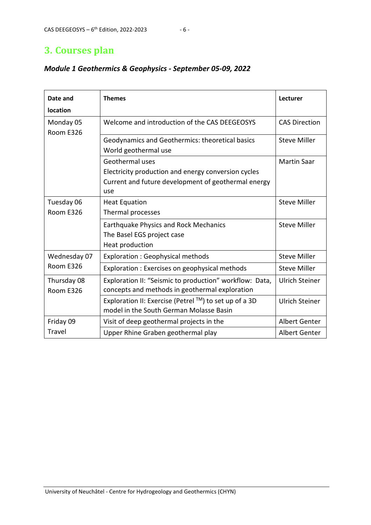### **3. Courses plan**

| Date and<br>location     | <b>Themes</b>                                                                                                                        | Lecturer              |
|--------------------------|--------------------------------------------------------------------------------------------------------------------------------------|-----------------------|
| Monday 05<br>Room E326   | Welcome and introduction of the CAS DEEGEOSYS                                                                                        | <b>CAS Direction</b>  |
|                          | Geodynamics and Geothermics: theoretical basics<br>World geothermal use                                                              | <b>Steve Miller</b>   |
|                          | Geothermal uses<br>Electricity production and energy conversion cycles<br>Current and future development of geothermal energy<br>use | <b>Martin Saar</b>    |
| Tuesday 06<br>Room E326  | <b>Heat Equation</b><br>Thermal processes                                                                                            | <b>Steve Miller</b>   |
|                          | <b>Earthquake Physics and Rock Mechanics</b><br>The Basel EGS project case<br>Heat production                                        | <b>Steve Miller</b>   |
| Wednesday 07             | Exploration : Geophysical methods                                                                                                    | <b>Steve Miller</b>   |
| Room E326                | Exploration : Exercises on geophysical methods                                                                                       | <b>Steve Miller</b>   |
| Thursday 08<br>Room E326 | Exploration II: "Seismic to production" workflow: Data,<br>concepts and methods in geothermal exploration                            | <b>Ulrich Steiner</b> |
|                          | Exploration II: Exercise (Petrel ™) to set up of a 3D<br>model in the South German Molasse Basin                                     | <b>Ulrich Steiner</b> |
| Friday 09                | Visit of deep geothermal projects in the                                                                                             | <b>Albert Genter</b>  |
| <b>Travel</b>            | Upper Rhine Graben geothermal play                                                                                                   | <b>Albert Genter</b>  |

#### *Module 1 Geothermics & Geophysics - September 05-09, 2022*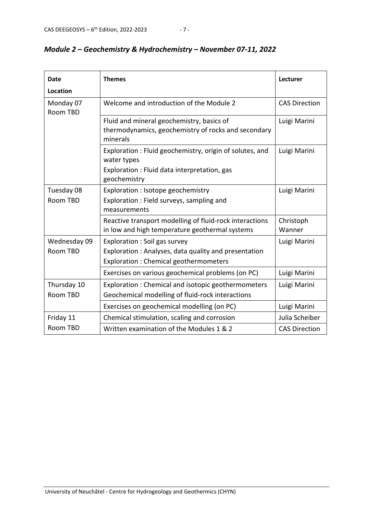| <b>Date</b><br><b>Location</b> | <b>Themes</b>                                                                                                                          | Lecturer             |
|--------------------------------|----------------------------------------------------------------------------------------------------------------------------------------|----------------------|
| Monday 07<br>Room TBD          | Welcome and introduction of the Module 2                                                                                               | <b>CAS Direction</b> |
|                                | Fluid and mineral geochemistry, basics of<br>thermodynamics, geochemistry of rocks and secondary<br>minerals                           | Luigi Marini         |
|                                | Exploration: Fluid geochemistry, origin of solutes, and<br>water types<br>Exploration : Fluid data interpretation, gas<br>geochemistry | Luigi Marini         |
| Tuesday 08<br><b>Room TBD</b>  | Exploration : Isotope geochemistry<br>Exploration: Field surveys, sampling and<br>measurements                                         | Luigi Marini         |
|                                | Reactive transport modelling of fluid-rock interactions<br>in low and high temperature geothermal systems                              | Christoph<br>Wanner  |
| Wednesday 09<br>Room TBD       | Exploration : Soil gas survey<br>Exploration: Analyses, data quality and presentation<br>Exploration : Chemical geothermometers        | Luigi Marini         |
|                                | Exercises on various geochemical problems (on PC)                                                                                      | Luigi Marini         |
| Thursday 10<br>Room TBD        | Exploration: Chemical and isotopic geothermometers<br>Geochemical modelling of fluid-rock interactions                                 | Luigi Marini         |
|                                | Exercises on geochemical modelling (on PC)                                                                                             | Luigi Marini         |
| Friday 11                      | Chemical stimulation, scaling and corrosion                                                                                            | Julia Scheiber       |
| Room TBD                       | Written examination of the Modules 1 & 2                                                                                               | <b>CAS Direction</b> |

#### *Module 2 – Geochemistry & Hydrochemistry – November 07-11, 2022*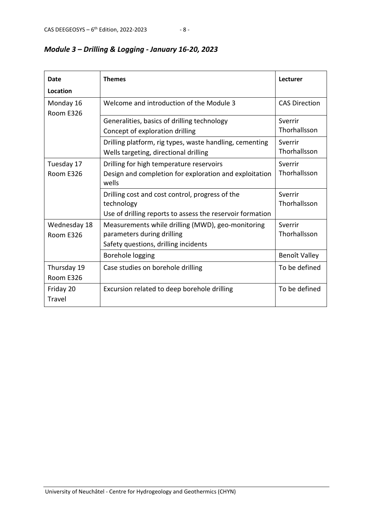| Date         | <b>Themes</b>                                             | Lecturer             |
|--------------|-----------------------------------------------------------|----------------------|
| Location     |                                                           |                      |
| Monday 16    | Welcome and introduction of the Module 3                  | <b>CAS Direction</b> |
| Room E326    |                                                           |                      |
|              | Generalities, basics of drilling technology               | Sverrir              |
|              | Concept of exploration drilling                           | Thorhallsson         |
|              | Drilling platform, rig types, waste handling, cementing   | Sverrir              |
|              | Wells targeting, directional drilling                     | Thorhallsson         |
| Tuesday 17   | Drilling for high temperature reservoirs                  | Sverrir              |
| Room E326    | Design and completion for exploration and exploitation    | Thorhallsson         |
|              | wells                                                     |                      |
|              | Drilling cost and cost control, progress of the           | Sverrir              |
|              | technology                                                | Thorhallsson         |
|              | Use of drilling reports to assess the reservoir formation |                      |
| Wednesday 18 | Measurements while drilling (MWD), geo-monitoring         | Sverrir              |
| Room E326    | parameters during drilling                                | Thorhallsson         |
|              | Safety questions, drilling incidents                      |                      |
|              | Borehole logging                                          | Benoît Valley        |
| Thursday 19  | Case studies on borehole drilling                         | To be defined        |
| Room E326    |                                                           |                      |
| Friday 20    | Excursion related to deep borehole drilling               | To be defined        |
| Travel       |                                                           |                      |

#### *Module 3 – Drilling & Logging - January 16-20, 2023*